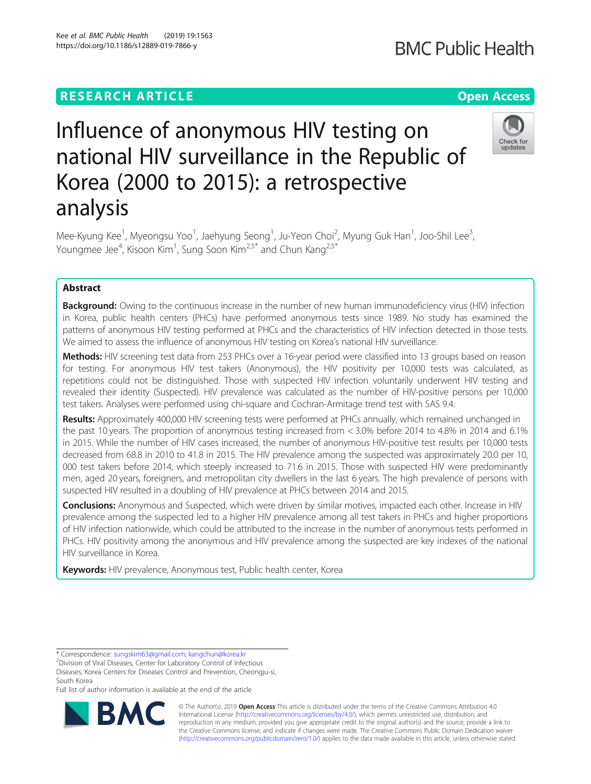# **RESEARCH ARTICLE Example 2014 12:30 The Contract of Contract ACCESS**

# Influence of anonymous HIV testing on national HIV surveillance in the Republic of Korea (2000 to 2015): a retrospective analysis

Mee-Kyung Kee<sup>1</sup>, Myeongsu Yoo<sup>1</sup>, Jaehyung Seong<sup>1</sup>, Ju-Yeon Choi<sup>2</sup>, Myung Guk Han<sup>1</sup>, Joo-Shil Lee<sup>3</sup> , Youngmee Jee<sup>4</sup>, Kisoon Kim<sup>1</sup>, Sung Soon Kim<sup>2,5\*</sup> and Chun Kang<sup>2,5\*</sup>

# Abstract

**Background:** Owing to the continuous increase in the number of new human immunodeficiency virus (HIV) infection in Korea, public health centers (PHCs) have performed anonymous tests since 1989. No study has examined the patterns of anonymous HIV testing performed at PHCs and the characteristics of HIV infection detected in those tests. We aimed to assess the influence of anonymous HIV testing on Korea's national HIV surveillance.

Methods: HIV screening test data from 253 PHCs over a 16-year period were classified into 13 groups based on reason for testing. For anonymous HIV test takers (Anonymous), the HIV positivity per 10,000 tests was calculated, as repetitions could not be distinguished. Those with suspected HIV infection voluntarily underwent HIV testing and revealed their identity (Suspected). HIV prevalence was calculated as the number of HIV-positive persons per 10,000 test takers. Analyses were performed using chi-square and Cochran-Armitage trend test with SAS 9.4.

Results: Approximately 400,000 HIV screening tests were performed at PHCs annually, which remained unchanged in the past 10 years. The proportion of anonymous testing increased from < 3.0% before 2014 to 4.8% in 2014 and 6.1% in 2015. While the number of HIV cases increased, the number of anonymous HIV-positive test results per 10,000 tests decreased from 68.8 in 2010 to 41.8 in 2015. The HIV prevalence among the suspected was approximately 20.0 per 10, 000 test takers before 2014, which steeply increased to 71.6 in 2015. Those with suspected HIV were predominantly men, aged 20 years, foreigners, and metropolitan city dwellers in the last 6 years. The high prevalence of persons with suspected HIV resulted in a doubling of HIV prevalence at PHCs between 2014 and 2015.

Conclusions: Anonymous and Suspected, which were driven by similar motives, impacted each other. Increase in HIV prevalence among the suspected led to a higher HIV prevalence among all test takers in PHCs and higher proportions of HIV infection nationwide, which could be attributed to the increase in the number of anonymous tests performed in PHCs. HIV positivity among the anonymous and HIV prevalence among the suspected are key indexes of the national HIV surveillance in Korea.

Keywords: HIV prevalence, Anonymous test, Public health center, Korea

<sup>2</sup>Division of Viral Diseases, Center for Laboratory Control of Infectious Diseases, Korea Centers for Diseases Control and Prevention, Cheongju-si,

South Korea

Full list of author information is available at the end of the article





© The Author(s). 2019 **Open Access** This article is distributed under the terms of the Creative Commons Attribution 4.0 International License [\(http://creativecommons.org/licenses/by/4.0/](http://creativecommons.org/licenses/by/4.0/)), which permits unrestricted use, distribution, and reproduction in any medium, provided you give appropriate credit to the original author(s) and the source, provide a link to the Creative Commons license, and indicate if changes were made. The Creative Commons Public Domain Dedication waiver [\(http://creativecommons.org/publicdomain/zero/1.0/](http://creativecommons.org/publicdomain/zero/1.0/)) applies to the data made available in this article, unless otherwise stated.



<sup>\*</sup> Correspondence: [sungskim63@gmail.com;](mailto:sungskim63@gmail.com) [kangchun@korea.kr](mailto:kangchun@korea.kr) <sup>2</sup>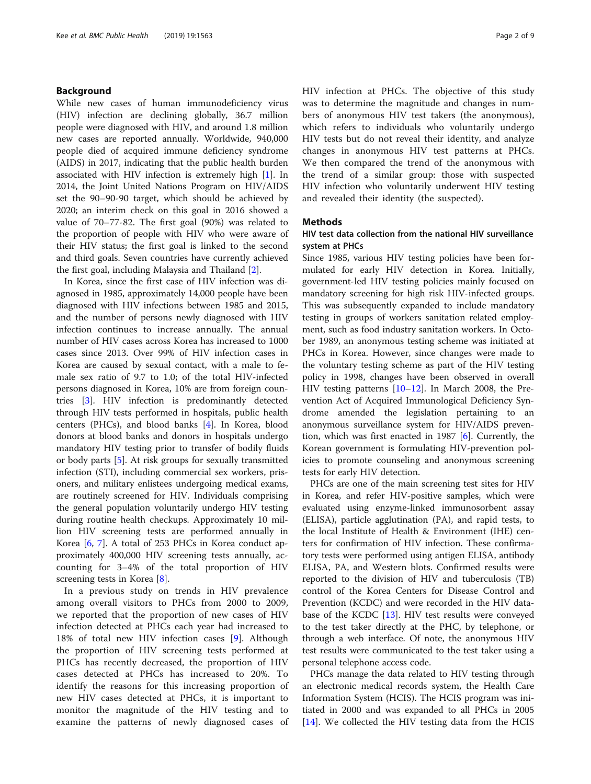# Background

While new cases of human immunodeficiency virus (HIV) infection are declining globally, 36.7 million people were diagnosed with HIV, and around 1.8 million new cases are reported annually. Worldwide, 940,000 people died of acquired immune deficiency syndrome (AIDS) in 2017, indicating that the public health burden associated with HIV infection is extremely high [\[1](#page-8-0)]. In 2014, the Joint United Nations Program on HIV/AIDS set the 90–90-90 target, which should be achieved by 2020; an interim check on this goal in 2016 showed a value of 70–77-82. The first goal (90%) was related to the proportion of people with HIV who were aware of their HIV status; the first goal is linked to the second and third goals. Seven countries have currently achieved the first goal, including Malaysia and Thailand [\[2](#page-8-0)].

In Korea, since the first case of HIV infection was diagnosed in 1985, approximately 14,000 people have been diagnosed with HIV infections between 1985 and 2015, and the number of persons newly diagnosed with HIV infection continues to increase annually. The annual number of HIV cases across Korea has increased to 1000 cases since 2013. Over 99% of HIV infection cases in Korea are caused by sexual contact, with a male to female sex ratio of 9.7 to 1.0; of the total HIV-infected persons diagnosed in Korea, 10% are from foreign countries [[3\]](#page-8-0). HIV infection is predominantly detected through HIV tests performed in hospitals, public health centers (PHCs), and blood banks [\[4](#page-8-0)]. In Korea, blood donors at blood banks and donors in hospitals undergo mandatory HIV testing prior to transfer of bodily fluids or body parts [[5\]](#page-8-0). At risk groups for sexually transmitted infection (STI), including commercial sex workers, prisoners, and military enlistees undergoing medical exams, are routinely screened for HIV. Individuals comprising the general population voluntarily undergo HIV testing during routine health checkups. Approximately 10 million HIV screening tests are performed annually in Korea [[6](#page-8-0), [7](#page-8-0)]. A total of 253 PHCs in Korea conduct approximately 400,000 HIV screening tests annually, accounting for 3–4% of the total proportion of HIV screening tests in Korea [[8\]](#page-8-0).

In a previous study on trends in HIV prevalence among overall visitors to PHCs from 2000 to 2009, we reported that the proportion of new cases of HIV infection detected at PHCs each year had increased to 18% of total new HIV infection cases [\[9](#page-8-0)]. Although the proportion of HIV screening tests performed at PHCs has recently decreased, the proportion of HIV cases detected at PHCs has increased to 20%. To identify the reasons for this increasing proportion of new HIV cases detected at PHCs, it is important to monitor the magnitude of the HIV testing and to examine the patterns of newly diagnosed cases of HIV infection at PHCs. The objective of this study was to determine the magnitude and changes in numbers of anonymous HIV test takers (the anonymous), which refers to individuals who voluntarily undergo HIV tests but do not reveal their identity, and analyze changes in anonymous HIV test patterns at PHCs. We then compared the trend of the anonymous with the trend of a similar group: those with suspected HIV infection who voluntarily underwent HIV testing and revealed their identity (the suspected).

# **Methods**

# HIV test data collection from the national HIV surveillance system at PHCs

Since 1985, various HIV testing policies have been formulated for early HIV detection in Korea. Initially, government-led HIV testing policies mainly focused on mandatory screening for high risk HIV-infected groups. This was subsequently expanded to include mandatory testing in groups of workers sanitation related employment, such as food industry sanitation workers. In October 1989, an anonymous testing scheme was initiated at PHCs in Korea. However, since changes were made to the voluntary testing scheme as part of the HIV testing policy in 1998, changes have been observed in overall HIV testing patterns [[10](#page-8-0)–[12](#page-8-0)]. In March 2008, the Prevention Act of Acquired Immunological Deficiency Syndrome amended the legislation pertaining to an anonymous surveillance system for HIV/AIDS prevention, which was first enacted in 1987 [[6\]](#page-8-0). Currently, the Korean government is formulating HIV-prevention policies to promote counseling and anonymous screening tests for early HIV detection.

PHCs are one of the main screening test sites for HIV in Korea, and refer HIV-positive samples, which were evaluated using enzyme-linked immunosorbent assay (ELISA), particle agglutination (PA), and rapid tests, to the local Institute of Health & Environment (IHE) centers for confirmation of HIV infection. These confirmatory tests were performed using antigen ELISA, antibody ELISA, PA, and Western blots. Confirmed results were reported to the division of HIV and tuberculosis (TB) control of the Korea Centers for Disease Control and Prevention (KCDC) and were recorded in the HIV database of the KCDC  $[13]$  $[13]$  $[13]$ . HIV test results were conveyed to the test taker directly at the PHC, by telephone, or through a web interface. Of note, the anonymous HIV test results were communicated to the test taker using a personal telephone access code.

PHCs manage the data related to HIV testing through an electronic medical records system, the Health Care Information System (HCIS). The HCIS program was initiated in 2000 and was expanded to all PHCs in 2005 [[14\]](#page-8-0). We collected the HIV testing data from the HCIS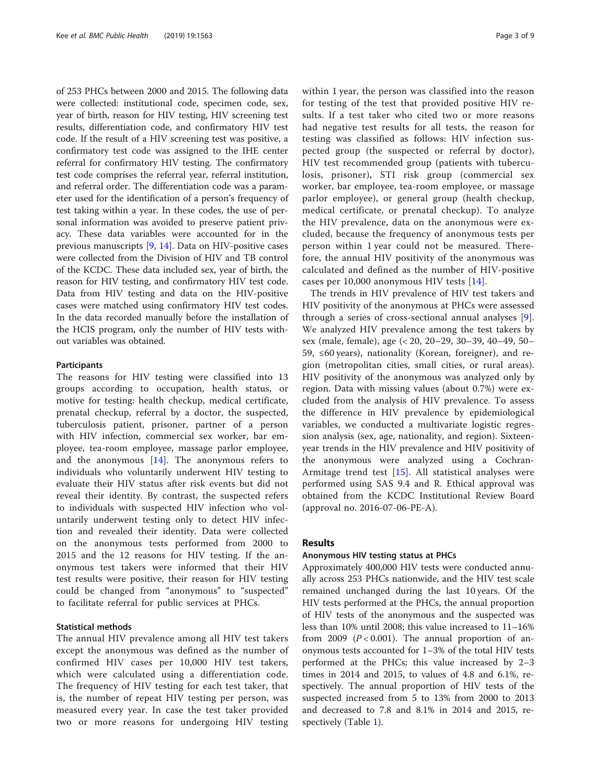of 253 PHCs between 2000 and 2015. The following data were collected: institutional code, specimen code, sex, year of birth, reason for HIV testing, HIV screening test results, differentiation code, and confirmatory HIV test code. If the result of a HIV screening test was positive, a confirmatory test code was assigned to the IHE center referral for confirmatory HIV testing. The confirmatory test code comprises the referral year, referral institution, and referral order. The differentiation code was a parameter used for the identification of a person's frequency of test taking within a year. In these codes, the use of personal information was avoided to preserve patient privacy. These data variables were accounted for in the previous manuscripts [\[9](#page-8-0), [14](#page-8-0)]. Data on HIV-positive cases were collected from the Division of HIV and TB control of the KCDC. These data included sex, year of birth, the reason for HIV testing, and confirmatory HIV test code. Data from HIV testing and data on the HIV-positive cases were matched using confirmatory HIV test codes. In the data recorded manually before the installation of the HCIS program, only the number of HIV tests without variables was obtained.

#### Participants

The reasons for HIV testing were classified into 13 groups according to occupation, health status, or motive for testing: health checkup, medical certificate, prenatal checkup, referral by a doctor, the suspected, tuberculosis patient, prisoner, partner of a person with HIV infection, commercial sex worker, bar employee, tea-room employee, massage parlor employee, and the anonymous [[14\]](#page-8-0). The anonymous refers to individuals who voluntarily underwent HIV testing to evaluate their HIV status after risk events but did not reveal their identity. By contrast, the suspected refers to individuals with suspected HIV infection who voluntarily underwent testing only to detect HIV infection and revealed their identity. Data were collected on the anonymous tests performed from 2000 to 2015 and the 12 reasons for HIV testing. If the anonymous test takers were informed that their HIV test results were positive, their reason for HIV testing could be changed from "anonymous" to "suspected" to facilitate referral for public services at PHCs.

# Statistical methods

The annual HIV prevalence among all HIV test takers except the anonymous was defined as the number of confirmed HIV cases per 10,000 HIV test takers, which were calculated using a differentiation code. The frequency of HIV testing for each test taker, that is, the number of repeat HIV testing per person, was measured every year. In case the test taker provided two or more reasons for undergoing HIV testing within 1 year, the person was classified into the reason for testing of the test that provided positive HIV results. If a test taker who cited two or more reasons had negative test results for all tests, the reason for testing was classified as follows: HIV infection suspected group (the suspected or referral by doctor), HIV test recommended group (patients with tuberculosis, prisoner), STI risk group (commercial sex worker, bar employee, tea-room employee, or massage parlor employee), or general group (health checkup, medical certificate, or prenatal checkup). To analyze the HIV prevalence, data on the anonymous were excluded, because the frequency of anonymous tests per person within 1 year could not be measured. Therefore, the annual HIV positivity of the anonymous was calculated and defined as the number of HIV-positive cases per 10,000 anonymous HIV tests [\[14\]](#page-8-0).

The trends in HIV prevalence of HIV test takers and HIV positivity of the anonymous at PHCs were assessed through a series of cross-sectional annual analyses [\[9](#page-8-0)]. We analyzed HIV prevalence among the test takers by sex (male, female), age (< 20, 20–29, 30–39, 40–49, 50– 59, ≤60 years), nationality (Korean, foreigner), and region (metropolitan cities, small cities, or rural areas). HIV positivity of the anonymous was analyzed only by region. Data with missing values (about 0.7%) were excluded from the analysis of HIV prevalence. To assess the difference in HIV prevalence by epidemiological variables, we conducted a multivariate logistic regression analysis (sex, age, nationality, and region). Sixteenyear trends in the HIV prevalence and HIV positivity of the anonymous were analyzed using a Cochran-Armitage trend test  $[15]$  $[15]$ . All statistical analyses were performed using SAS 9.4 and R. Ethical approval was obtained from the KCDC Institutional Review Board (approval no. 2016-07-06-PE-A).

## Results

#### Anonymous HIV testing status at PHCs

Approximately 400,000 HIV tests were conducted annually across 253 PHCs nationwide, and the HIV test scale remained unchanged during the last 10 years. Of the HIV tests performed at the PHCs, the annual proportion of HIV tests of the anonymous and the suspected was less than 10% until 2008; this value increased to 11–16% from 2009 ( $P < 0.001$ ). The annual proportion of anonymous tests accounted for 1–3% of the total HIV tests performed at the PHCs; this value increased by 2–3 times in 2014 and 2015, to values of 4.8 and 6.1%, respectively. The annual proportion of HIV tests of the suspected increased from 5 to 13% from 2000 to 2013 and decreased to 7.8 and 8.1% in 2014 and 2015, respectively (Table [1](#page-3-0)).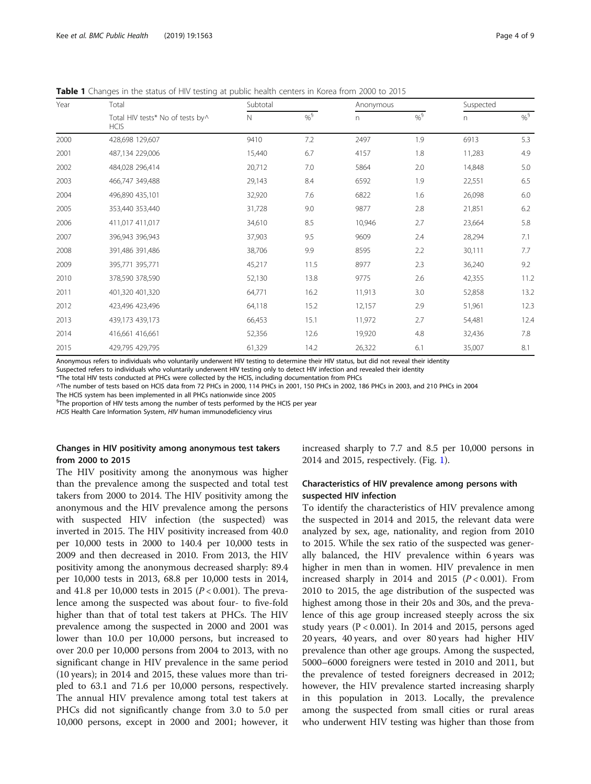<span id="page-3-0"></span>**Table 1** Changes in the status of HIV testing at public health centers in Korea from 2000 to 2015

| Year | Total                                           | Subtotal    |          | Anonymous    |                    | Suspected |                    |
|------|-------------------------------------------------|-------------|----------|--------------|--------------------|-----------|--------------------|
|      | Total HIV tests* No of tests by^<br><b>HCIS</b> | $\mathbb N$ | $% ^{5}$ | $\mathsf{n}$ | $96^{\frac{5}{3}}$ | n         | $96^{\frac{6}{3}}$ |
| 2000 | 428,698 129,607                                 | 9410        | 7.2      | 2497         | 1.9                | 6913      | 5.3                |
| 2001 | 487,134 229,006                                 | 15,440      | 6.7      | 4157         | 1.8                | 11,283    | 4.9                |
| 2002 | 484,028 296,414                                 | 20,712      | 7.0      | 5864         | 2.0                | 14,848    | 5.0                |
| 2003 | 466.747 349.488                                 | 29,143      | 8.4      | 6592         | 1.9                | 22,551    | 6.5                |
| 2004 | 496,890 435,101                                 | 32,920      | 7.6      | 6822         | 1.6                | 26,098    | 6.0                |
| 2005 | 353,440 353,440                                 | 31,728      | 9.0      | 9877         | 2.8                | 21,851    | $6.2\,$            |
| 2006 | 411,017 411,017                                 | 34,610      | 8.5      | 10,946       | 2.7                | 23,664    | 5.8                |
| 2007 | 396,943 396,943                                 | 37,903      | 9.5      | 9609         | 2.4                | 28,294    | 7.1                |
| 2008 | 391,486 391,486                                 | 38,706      | 9.9      | 8595         | 2.2                | 30,111    | 7.7                |
| 2009 | 395,771 395,771                                 | 45,217      | 11.5     | 8977         | 2.3                | 36,240    | 9.2                |
| 2010 | 378,590 378,590                                 | 52,130      | 13.8     | 9775         | 2.6                | 42,355    | 11.2               |
| 2011 | 401,320 401,320                                 | 64,771      | 16.2     | 11,913       | 3.0                | 52,858    | 13.2               |
| 2012 | 423,496 423,496                                 | 64,118      | 15.2     | 12,157       | 2.9                | 51,961    | 12.3               |
| 2013 | 439,173 439,173                                 | 66,453      | 15.1     | 11,972       | 2.7                | 54,481    | 12.4               |
| 2014 | 416,661 416,661                                 | 52,356      | 12.6     | 19,920       | 4.8                | 32,436    | 7.8                |
| 2015 | 429.795 429.795                                 | 61,329      | 14.2     | 26,322       | 6.1                | 35,007    | 8.1                |

Anonymous refers to individuals who voluntarily underwent HIV testing to determine their HIV status, but did not reveal their identity

Suspected refers to individuals who voluntarily underwent HIV testing only to detect HIV infection and revealed their identity

\*The total HIV tests conducted at PHCs were collected by the HCIS, including documentation from PHCs

^The number of tests based on HCIS data from 72 PHCs in 2000, 114 PHCs in 2001, 150 PHCs in 2002, 186 PHCs in 2003, and 210 PHCs in 2004

The HCIS system has been implemented in all PHCs nationwide since 2005

<sup>§</sup>The proportion of HIV tests among the number of tests performed by the HCIS per year

HCIS Health Care Information System, HIV human immunodeficiency virus

# Changes in HIV positivity among anonymous test takers from 2000 to 2015

The HIV positivity among the anonymous was higher than the prevalence among the suspected and total test takers from 2000 to 2014. The HIV positivity among the anonymous and the HIV prevalence among the persons with suspected HIV infection (the suspected) was inverted in 2015. The HIV positivity increased from 40.0 per 10,000 tests in 2000 to 140.4 per 10,000 tests in 2009 and then decreased in 2010. From 2013, the HIV positivity among the anonymous decreased sharply: 89.4 per 10,000 tests in 2013, 68.8 per 10,000 tests in 2014, and 41.8 per 10,000 tests in 2015 ( $P < 0.001$ ). The prevalence among the suspected was about four- to five-fold higher than that of total test takers at PHCs. The HIV prevalence among the suspected in 2000 and 2001 was lower than 10.0 per 10,000 persons, but increased to over 20.0 per 10,000 persons from 2004 to 2013, with no significant change in HIV prevalence in the same period (10 years); in 2014 and 2015, these values more than tripled to 63.1 and 71.6 per 10,000 persons, respectively. The annual HIV prevalence among total test takers at PHCs did not significantly change from 3.0 to 5.0 per 10,000 persons, except in 2000 and 2001; however, it increased sharply to 7.7 and 8.5 per 10,000 persons in 2014 and 2015, respectively. (Fig. [1](#page-4-0)).

# Characteristics of HIV prevalence among persons with suspected HIV infection

To identify the characteristics of HIV prevalence among the suspected in 2014 and 2015, the relevant data were analyzed by sex, age, nationality, and region from 2010 to 2015. While the sex ratio of the suspected was generally balanced, the HIV prevalence within 6 years was higher in men than in women. HIV prevalence in men increased sharply in 2014 and 2015  $(P < 0.001)$ . From 2010 to 2015, the age distribution of the suspected was highest among those in their 20s and 30s, and the prevalence of this age group increased steeply across the six study years  $(P < 0.001)$ . In 2014 and 2015, persons aged 20 years, 40 years, and over 80 years had higher HIV prevalence than other age groups. Among the suspected, 5000–6000 foreigners were tested in 2010 and 2011, but the prevalence of tested foreigners decreased in 2012; however, the HIV prevalence started increasing sharply in this population in 2013. Locally, the prevalence among the suspected from small cities or rural areas who underwent HIV testing was higher than those from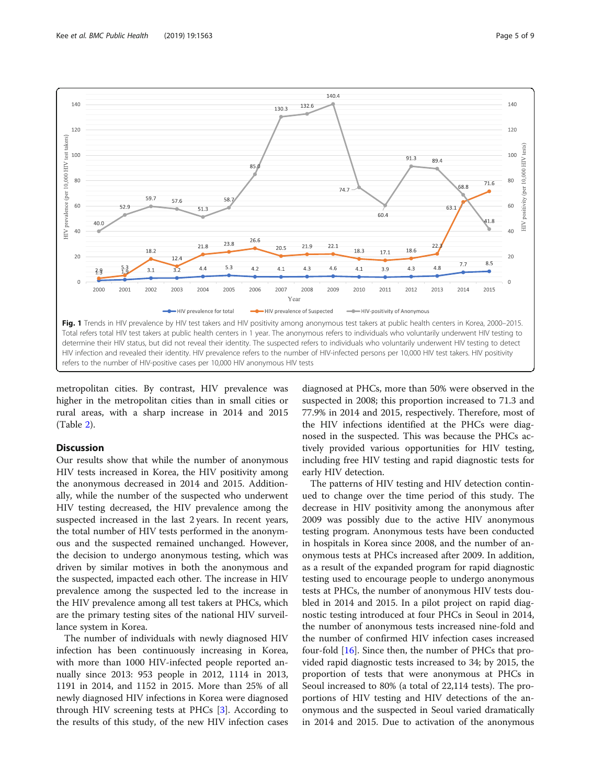<span id="page-4-0"></span>

metropolitan cities. By contrast, HIV prevalence was higher in the metropolitan cities than in small cities or rural areas, with a sharp increase in 2014 and 2015 (Table [2\)](#page-5-0).

# Discussion

Our results show that while the number of anonymous HIV tests increased in Korea, the HIV positivity among the anonymous decreased in 2014 and 2015. Additionally, while the number of the suspected who underwent HIV testing decreased, the HIV prevalence among the suspected increased in the last 2 years. In recent years, the total number of HIV tests performed in the anonymous and the suspected remained unchanged. However, the decision to undergo anonymous testing, which was driven by similar motives in both the anonymous and the suspected, impacted each other. The increase in HIV prevalence among the suspected led to the increase in the HIV prevalence among all test takers at PHCs, which are the primary testing sites of the national HIV surveillance system in Korea.

The number of individuals with newly diagnosed HIV infection has been continuously increasing in Korea, with more than 1000 HIV-infected people reported annually since 2013: 953 people in 2012, 1114 in 2013, 1191 in 2014, and 1152 in 2015. More than 25% of all newly diagnosed HIV infections in Korea were diagnosed through HIV screening tests at PHCs [[3\]](#page-8-0). According to the results of this study, of the new HIV infection cases

diagnosed at PHCs, more than 50% were observed in the suspected in 2008; this proportion increased to 71.3 and 77.9% in 2014 and 2015, respectively. Therefore, most of the HIV infections identified at the PHCs were diagnosed in the suspected. This was because the PHCs actively provided various opportunities for HIV testing, including free HIV testing and rapid diagnostic tests for early HIV detection.

The patterns of HIV testing and HIV detection continued to change over the time period of this study. The decrease in HIV positivity among the anonymous after 2009 was possibly due to the active HIV anonymous testing program. Anonymous tests have been conducted in hospitals in Korea since 2008, and the number of anonymous tests at PHCs increased after 2009. In addition, as a result of the expanded program for rapid diagnostic testing used to encourage people to undergo anonymous tests at PHCs, the number of anonymous HIV tests doubled in 2014 and 2015. In a pilot project on rapid diagnostic testing introduced at four PHCs in Seoul in 2014, the number of anonymous tests increased nine-fold and the number of confirmed HIV infection cases increased four-fold [\[16\]](#page-8-0). Since then, the number of PHCs that provided rapid diagnostic tests increased to 34; by 2015, the proportion of tests that were anonymous at PHCs in Seoul increased to 80% (a total of 22,114 tests). The proportions of HIV testing and HIV detections of the anonymous and the suspected in Seoul varied dramatically in 2014 and 2015. Due to activation of the anonymous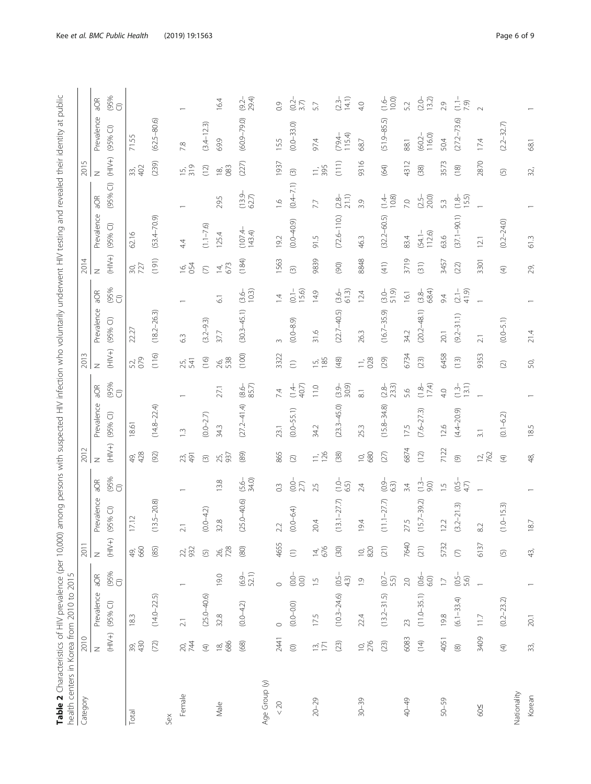| Category       | 2010                                       |                 |                          | 2011                                   |                 |                             | 2012                                                                                                                                                                  |                  |                        | 2013              |                  |                                  | 2014                    |                      |                    | 2015                         |                     |                                        |
|----------------|--------------------------------------------|-----------------|--------------------------|----------------------------------------|-----------------|-----------------------------|-----------------------------------------------------------------------------------------------------------------------------------------------------------------------|------------------|------------------------|-------------------|------------------|----------------------------------|-------------------------|----------------------|--------------------|------------------------------|---------------------|----------------------------------------|
|                | $\overline{z}$                             | Prevalence      | aOR                      | $\mathbb Z$                            | Prevalence      | aOR                         | $\mathbb Z$                                                                                                                                                           | Prevalence       | aOR                    | $\mathbb Z$       | Prevalence       | aOR                              | $\mathbb Z$             | Prevalence           | aOR                | $\, \geq$                    | Prevalence          | aOR                                    |
|                | $\begin{array}{c} (+{\sf N}+) \end{array}$ | $(95%$ CI)      | $(95%$<br>Cl)            | $\begin{pmatrix} + \\ + \end{pmatrix}$ | $(95%$ Cl)      | $\frac{8}{10}$              | $\begin{minipage}{.4\linewidth} \begin{tabular}{l} \hline \textbf{0} & \textbf{0} \\ \textbf{0} & \textbf{0} \\ \textbf{0} & \textbf{0} \end{tabular} \end{minipage}$ | $(95%$ Cl)       | (95%)<br>Cl            | $(HN+)$           | $(95%$ CI)       | (95%                             | $(HN+)$                 | $(95%$ Cl)           | $(95%$ Cl)         | $\widetilde{H}(\mathcal{H})$ | $(95%$ Cl)          | $\begin{array}{c}\n 0.5\n \end{array}$ |
| Total          | 39,430                                     | m<br>$\approx$  |                          | 49,60                                  | 7.12            |                             | 49,<br>428                                                                                                                                                            | 18.61            |                        | 52,               | 22.27            |                                  | 30, 727                 | 62.16                |                    | 33,                          | 71.55               |                                        |
|                | (72)                                       | $(14.0 - 22.5)$ |                          | (85)                                   | $3.5 - 20.8$    |                             | (92)                                                                                                                                                                  | $(14.8 - 22.4)$  |                        | (116)             | $(18.2 - 26.3)$  |                                  | (191)                   | $(53.4 - 70.9)$      |                    | (239)                        | $(62.5 - 80.6)$     |                                        |
| Sex            |                                            |                 |                          |                                        |                 |                             |                                                                                                                                                                       |                  |                        |                   |                  |                                  |                         |                      |                    |                              |                     |                                        |
| Female         | 744<br>20,                                 | $\overline{21}$ | $\overline{\phantom{0}}$ | 22,                                    | $\gtrsim$       |                             | 23,491                                                                                                                                                                | $\bar{\omega}$   |                        | 25,               | $63$             |                                  | 16,4                    | 44                   | $\overline{ }$     | 15, 9                        | $7.8\,$             |                                        |
|                | $\bigoplus$                                | $(25.0 - 40.6)$ |                          | $\odot$                                | $(0.0 - 4.2)$   |                             | $\widehat{\odot}$                                                                                                                                                     | $(0.0 - 2.7)$    |                        | (16)              | $(3.2 - 9.3)$    |                                  | $\odot$                 | $(1.1 - 7.6)$        |                    | (12)                         | $(3.4 - 12.3)$      |                                        |
| Male           | 686<br>$\overline{18}$                     | 32.8            | 19.0                     | 26,                                    | 32.8            | 13.8                        | 25,                                                                                                                                                                   | 343              | 27.1                   | 26, 38            | 37.7             | $\overline{6}$                   | 14, 673                 | 125.4                | 29.5               | $^{18}_{08}$                 | 699                 | 16.4                                   |
|                | (68)                                       | $(0.0 - 4.2)$   | $(6.9 - 52.1)$           | $(80)$                                 | $(25.0 - 40.6)$ | $(5.6 - 34.0)$              | (89)                                                                                                                                                                  | $(27.2 - 41.4)$  | $(8.6 - 8.7)$          | (100)             | $(30.3 - 45.1)$  | $(3.6 - 10.3)$                   | (184)                   | $(107.4 -$<br>143.4) | $(13.9 - 62.7)$    | (227)                        | $(60.9 - 79.0)$     | $(9.2 - 29.4)$                         |
| Age Group (y)  |                                            |                 |                          |                                        |                 |                             |                                                                                                                                                                       |                  |                        |                   |                  |                                  |                         |                      |                    |                              |                     |                                        |
| $< 20$         | 2441                                       | $\circ$         | $\circ$                  | 4655                                   | 2.2             | $\overline{0}3$             | 865                                                                                                                                                                   | 23.1             | 7.4                    | 3322              |                  | $\overline{4}$                   | 1563                    | 19.2                 | $\frac{6}{1}$      | 1937                         | 15.5                | $\overline{0}$ .                       |
|                | $\widehat{\odot}$                          | $(0.0 - 0.0)$   | $\overline{0}$ .<br>0.0) | $\widehat{\equiv}$                     | $(0.0 - 6.4)$   | $rac{0}{2}$                 | $\odot$                                                                                                                                                               | $(0.0 - 55.1)$   | 40.7)<br>$\frac{4}{1}$ | $\widehat{z}$     | $(0.0 - 8.9)$    | $\frac{1}{\mathcal{O}}$<br>15.6) | $\widehat{\odot}$       | $(0.0 - 40.9)$       | $(0.4 - 7.1)$      | $\odot$                      | $(0.0 - 33.0)$      | $(0.2 -$<br>3.7)                       |
| $20 - 29$      | $\frac{13}{11}$                            | 17.5            | $\frac{5}{1}$            | 676<br>14,                             | 20.4            | 2.5                         | 11.6                                                                                                                                                                  | 34.2             | 11.0                   | 15,05             | 31.6             | 14.9                             | 9839                    | 91.5                 | 77                 | $\frac{1}{3}$                | 97.4                | 5.7                                    |
|                | (23)                                       | $(10.3 - 24.6)$ | $(0.5 - 4.3)$            | (30)                                   | $3.1 - 27.7$    | $rac{1}{2}$<br>6.5)         | (38)                                                                                                                                                                  | $(23.3 - 45.0)$  | 30.9)<br>$(3.9 -$      | (48)              | $(22.7 - 40.5)$  | $(3.6 -$<br>61.3)                | (90)                    | $(72.6 - 110.)$      | 21.1)<br>$(2.8 -$  | (111)                        | 115.4)<br>$(79.4 -$ | 14.1)<br>$(2.3 -$                      |
| $30 - 39$      | 276<br>$\supseteq$                         | 22.4            | $\overline{0}$           | 820<br>$\supseteq$                     | 9.4             | 24                          | $\frac{1}{6}80$                                                                                                                                                       | 25.3             | $\overline{\circ}$     | $\frac{1}{2}$     | 26.3             | 12.4                             | 8848                    | 46.3                 | 3.9                | 9316                         | 68.7                | 40                                     |
|                | (23)                                       | $(13.2 - 31.5)$ | $(0.7 - 5.5)$            | (21)                                   | $1.1 - 27.7$    | $(0.9 - 0.3)$               | (27)                                                                                                                                                                  | $(15.8 - 34.8)$  | $(2.8 -$<br>23.3)      | (29)              | $(16.7 - 35.9)$  | $(3.0 - 51.9)$                   | (41)                    | $(32.2 - 60.5)$      | $(1.4 - 0.8)$      | (64)                         | $(51.9 - 85.5)$     | $(1.6 - 0.0)$                          |
| 40-49          | 6083                                       | 23              | 2.0                      | 7640                                   | 27.5            | 3.4                         | 6874                                                                                                                                                                  | 175              | 5.6                    | 6734              | 34.2             | 16.1                             | 3719                    | 83.4                 | 7.0                | 4312                         | 88.1                | 5.2                                    |
|                | $(14)$                                     | $(11.0 - 35.1)$ | $-9.0$<br>6.0)           | (21)                                   | $5.7 - 39.2$    | $\frac{1}{3}$ $\frac{3}{2}$ | (12)                                                                                                                                                                  | $(7.6 - 27.3)$   | $(1, 8-$               | (23)              | $(20.2 - 48.1)$  | $(3.8 - 6.4)$                    | (31)                    | $(54.1 -$<br>112.6)  | 20.0)<br>$\sim$ 5- | (38)                         | $(60.2 - 116.0)$    | $(2.0 - 13.2)$                         |
| $50 - 59$      | 4051                                       | 19.8            | $\overline{1}$ .         | 5732                                   | 2.2             | $\overline{5}$              | 7122                                                                                                                                                                  | 12.6             | 4.0                    | 6458              | 20.1             | 64                               | 3457                    | 63.6                 | 53                 | 3573                         | 50.4                | 2.9                                    |
|                | $\circledR$                                | $(6.1 - 33.4)$  | $(0.5 -$<br>5.6)         | $\odot$                                | $(3.2 - 21.3)$  | $6.5 -$<br>47)              | $\circledcirc$                                                                                                                                                        | $(4.4 - 20.9)$   | 13.1)<br>(1.3          | (13)              | $(9.2 - 31.1)$   | 41.9)<br>$(2.1 -$                | (22)                    | $(37.1 - 90.1)$      | $(1.8 - 15.5)$     | $(18)$                       | $(27.2 - 73.6)$     | $\dot{\Xi}$<br>7.9)                    |
| $\frac{50}{5}$ | 3409                                       | 11.7            | $\overline{\phantom{0}}$ | 6137                                   | $8.2\,$         |                             | 762<br>12,                                                                                                                                                            | $\overline{3}$ . |                        | 9353              | $\overline{2.1}$ |                                  | 3301                    | 12.1                 |                    | 2870                         | 174                 | $\sim$                                 |
|                | $\widehat{\mathcal{L}}$                    | $(0.2 - 23.2)$  |                          | $\odot$                                | $.0 - 15.3$     |                             | $\bigoplus$                                                                                                                                                           | $(0.1 - 6.2)$    |                        | $\widehat{\odot}$ | $(0.0 - 5.1)$    |                                  | $\widehat{\mathcal{F}}$ | $(0.2 - 24.0)$       |                    | $\odot$                      | $(2.2 - 32.7)$      |                                        |
| Nationality    |                                            |                 |                          |                                        |                 |                             |                                                                                                                                                                       |                  |                        |                   |                  |                                  |                         |                      |                    |                              |                     |                                        |
| Korean         | 33,                                        | 20.1            |                          | 43,                                    | 87              |                             | 48                                                                                                                                                                    | 185              |                        | 50,               | 21.4             |                                  | 29,                     | 61.3                 |                    | 32,                          | 68.1                |                                        |

<span id="page-5-0"></span>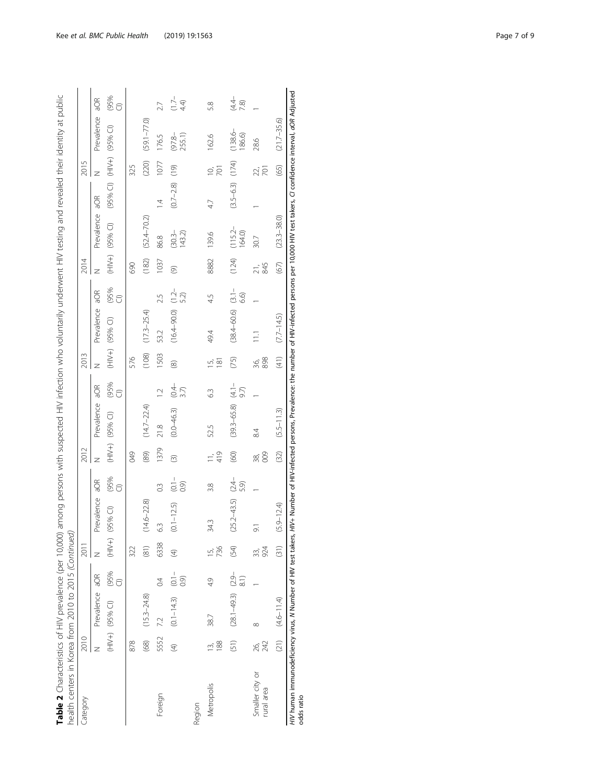| Category                      | 2010          |                          |                | 2011              |                 |                                 | 2012                    |                 |                         | 2013                                                                                                                                                                  |                 |                  | 2014    |                      |                | 2015               |                      |                         |
|-------------------------------|---------------|--------------------------|----------------|-------------------|-----------------|---------------------------------|-------------------------|-----------------|-------------------------|-----------------------------------------------------------------------------------------------------------------------------------------------------------------------|-----------------|------------------|---------|----------------------|----------------|--------------------|----------------------|-------------------------|
|                               |               | Prevalence               | aOR            |                   | Prevalence      | ЭQВ                             | Z                       | Prevalence      | aOR                     |                                                                                                                                                                       | Prevalence      | aOR              |         | Prevalence           | aOR            |                    | Prevalence           | ЭQЕ                     |
|                               |               | $(HN+)$ (95% CI)         | (95%<br>Ĵ      | $(HN+)$           | $(95%$ CI)      | (95%<br>Ĵ                       | $H(\mathbb{H})$         | $(95%$ CI)      | (95%<br>€               | $\begin{minipage}{.4\linewidth} \begin{tabular}{l} \hline \textbf{0} & \textbf{0} \\ \textbf{0} & \textbf{0} \\ \textbf{0} & \textbf{0} \end{tabular} \end{minipage}$ | $(95%$ CI)      | (95%<br>Ĵ        | $(HN+)$ | $(95%$ Cl)           | $(95%$ CI)     |                    | (HV+) (95% C)        | (95%<br>€               |
|                               | 878           |                          |                | 322               |                 |                                 | <b>670</b>              |                 |                         | 576                                                                                                                                                                   |                 |                  | 690     |                      |                | 325                |                      |                         |
|                               | (68)          | $(15.3 - 24.8)$          |                | $\widehat{5}$     | $(14.6 - 22.8)$ |                                 | (89)                    | $(14.7 - 22.4)$ |                         | (108)                                                                                                                                                                 | $(17.3 - 25.4)$ |                  | (182)   | $(52.4 - 70.2)$      |                | (220)              | $(59.1 - 77.0)$      |                         |
| Foreign                       | 5552          | 72                       | $\ddot{\circ}$ | 6338              | 63              | $\frac{3}{2}$                   | 1379                    | 218             | $\overline{C}$          | 1503                                                                                                                                                                  | 53.2            | 2.5              | 1037    | 86.8                 | $\overline{4}$ | 1077               | 176.5                | 2.7                     |
|                               | E             | $(0.1 - 14.3)$ $(0.1 -$  | (6.0)          | Ð                 | $(0.1 - 12.5)$  | $\frac{1}{\mathcal{O}}$<br>(60) | $\widehat{\mathcal{D}}$ | $(0.0 - 46.3)$  | $-10.4$<br>3.7)         | $\circledR$                                                                                                                                                           | $(16.4 - 90.0)$ | $(1.2 -$<br>5.2) | ම       | $(30.3 -$<br>143.2   | $(0.7 - 2.8)$  | (19)               | $-8.79$<br>255.1)    | $(1.7 - 4.4)$           |
| Region                        |               |                          |                |                   |                 |                                 |                         |                 |                         |                                                                                                                                                                       |                 |                  |         |                      |                |                    |                      |                         |
| Metropolis                    | 188<br>$\sim$ | 38.7                     | 4.9            | 736               | 34.3            | 3.8                             | 419                     | 52.5            | 6.3                     | $\overline{8}$<br>15,                                                                                                                                                 | 49.4            | 4.5              | 8882    | 139.6                | 47             | 701<br>$\supseteq$ | 162.6                | 5.8                     |
|                               | (51)          | $(28.1 - 49.3)$ $(2.9 -$ | $\widehat{3}$  | (54)              | $(25.2 - 43.5)$ | $(2.4 -$<br>59)                 | (60)                    | $(39.3 - 65.8)$ | $\frac{1}{4.1}$<br>9.7) | (75)                                                                                                                                                                  | $(38.4 - 60.6)$ | $(3.1 -$<br>6.6) | (124)   | $(115.2 -$<br>164.0) | $(3.5 - 6.3)$  | (174)              | $(138.6 -$<br>186.6) | $\overline{44}$<br>7.8) |
| Smaller city or<br>rural area | 242<br>26,    | $\infty$                 |                | 924<br>33,        | $\overline{5}$  |                                 | 800<br>38,              | 84              |                         | 898<br>36,                                                                                                                                                            | $\Xi$           |                  | 845     | 30.7                 |                | 701<br>22,         | 286                  |                         |
|                               | (21)          | $(4.6 - 11.4)$           |                | $\widetilde{\Xi}$ | $(5.9 - 12.4)$  |                                 | (32)                    | $(5.5 - 11.3)$  |                         | $\left(1\right)$                                                                                                                                                      | $(7.7 - 14.5)$  |                  | (67)    | $(23.3 - 38.0)$      |                | (65)               | $(21.7 - 35.6)$      |                         |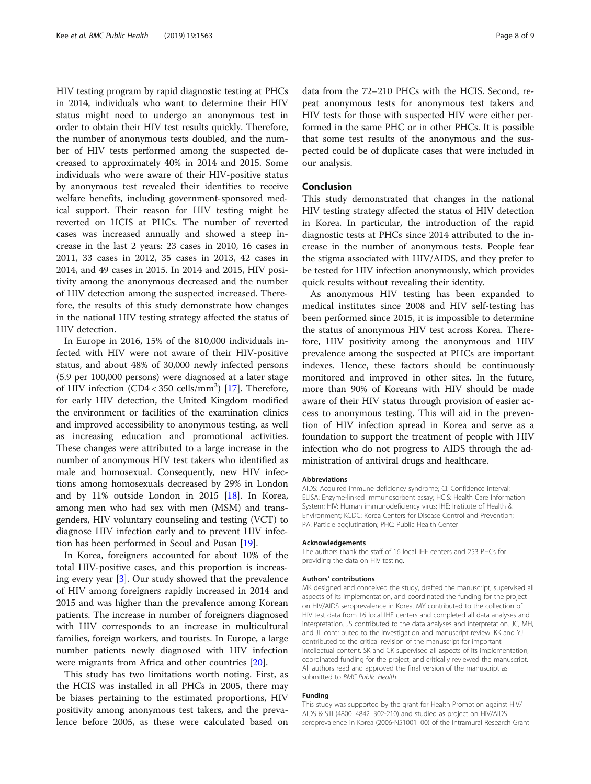HIV testing program by rapid diagnostic testing at PHCs in 2014, individuals who want to determine their HIV status might need to undergo an anonymous test in order to obtain their HIV test results quickly. Therefore, the number of anonymous tests doubled, and the number of HIV tests performed among the suspected decreased to approximately 40% in 2014 and 2015. Some individuals who were aware of their HIV-positive status by anonymous test revealed their identities to receive welfare benefits, including government-sponsored medical support. Their reason for HIV testing might be reverted on HCIS at PHCs. The number of reverted cases was increased annually and showed a steep increase in the last 2 years: 23 cases in 2010, 16 cases in 2011, 33 cases in 2012, 35 cases in 2013, 42 cases in 2014, and 49 cases in 2015. In 2014 and 2015, HIV positivity among the anonymous decreased and the number of HIV detection among the suspected increased. Therefore, the results of this study demonstrate how changes in the national HIV testing strategy affected the status of HIV detection.

In Europe in 2016, 15% of the 810,000 individuals infected with HIV were not aware of their HIV-positive status, and about 48% of 30,000 newly infected persons (5.9 per 100,000 persons) were diagnosed at a later stage of HIV infection  $(CD4 < 350 \text{ cells/mm}^3)$  [\[17](#page-8-0)]. Therefore, for early HIV detection, the United Kingdom modified the environment or facilities of the examination clinics and improved accessibility to anonymous testing, as well as increasing education and promotional activities. These changes were attributed to a large increase in the number of anonymous HIV test takers who identified as male and homosexual. Consequently, new HIV infections among homosexuals decreased by 29% in London and by 11% outside London in 2015 [\[18](#page-8-0)]. In Korea, among men who had sex with men (MSM) and transgenders, HIV voluntary counseling and testing (VCT) to diagnose HIV infection early and to prevent HIV infection has been performed in Seoul and Pusan [\[19\]](#page-8-0).

In Korea, foreigners accounted for about 10% of the total HIV-positive cases, and this proportion is increasing every year [\[3](#page-8-0)]. Our study showed that the prevalence of HIV among foreigners rapidly increased in 2014 and 2015 and was higher than the prevalence among Korean patients. The increase in number of foreigners diagnosed with HIV corresponds to an increase in multicultural families, foreign workers, and tourists. In Europe, a large number patients newly diagnosed with HIV infection were migrants from Africa and other countries [[20\]](#page-8-0).

This study has two limitations worth noting. First, as the HCIS was installed in all PHCs in 2005, there may be biases pertaining to the estimated proportions, HIV positivity among anonymous test takers, and the prevalence before 2005, as these were calculated based on

data from the 72–210 PHCs with the HCIS. Second, repeat anonymous tests for anonymous test takers and HIV tests for those with suspected HIV were either performed in the same PHC or in other PHCs. It is possible that some test results of the anonymous and the suspected could be of duplicate cases that were included in our analysis.

#### Conclusion

This study demonstrated that changes in the national HIV testing strategy affected the status of HIV detection in Korea. In particular, the introduction of the rapid diagnostic tests at PHCs since 2014 attributed to the increase in the number of anonymous tests. People fear the stigma associated with HIV/AIDS, and they prefer to be tested for HIV infection anonymously, which provides quick results without revealing their identity.

As anonymous HIV testing has been expanded to medical institutes since 2008 and HIV self-testing has been performed since 2015, it is impossible to determine the status of anonymous HIV test across Korea. Therefore, HIV positivity among the anonymous and HIV prevalence among the suspected at PHCs are important indexes. Hence, these factors should be continuously monitored and improved in other sites. In the future, more than 90% of Koreans with HIV should be made aware of their HIV status through provision of easier access to anonymous testing. This will aid in the prevention of HIV infection spread in Korea and serve as a foundation to support the treatment of people with HIV infection who do not progress to AIDS through the administration of antiviral drugs and healthcare.

#### Abbreviations

AIDS: Acquired immune deficiency syndrome; CI: Confidence interval; ELISA: Enzyme-linked immunosorbent assay; HCIS: Health Care Information System; HIV: Human immunodeficiency virus; IHE: Institute of Health & Environment; KCDC: Korea Centers for Disease Control and Prevention; PA: Particle agglutination; PHC: Public Health Center

#### Acknowledgements

The authors thank the staff of 16 local IHE centers and 253 PHCs for providing the data on HIV testing.

#### Authors' contributions

MK designed and conceived the study, drafted the manuscript, supervised all aspects of its implementation, and coordinated the funding for the project on HIV/AIDS seroprevalence in Korea. MY contributed to the collection of HIV test data from 16 local IHE centers and completed all data analyses and interpretation. JS contributed to the data analyses and interpretation. JC, MH, and JL contributed to the investigation and manuscript review. KK and YJ contributed to the critical revision of the manuscript for important intellectual content. SK and CK supervised all aspects of its implementation, coordinated funding for the project, and critically reviewed the manuscript. All authors read and approved the final version of the manuscript as submitted to BMC Public Health.

#### Funding

This study was supported by the grant for Health Promotion against HIV/ AIDS & STI (4800–4842–302-210) and studied as project on HIV/AIDS seroprevalence in Korea (2006-N51001–00) of the Intramural Research Grant